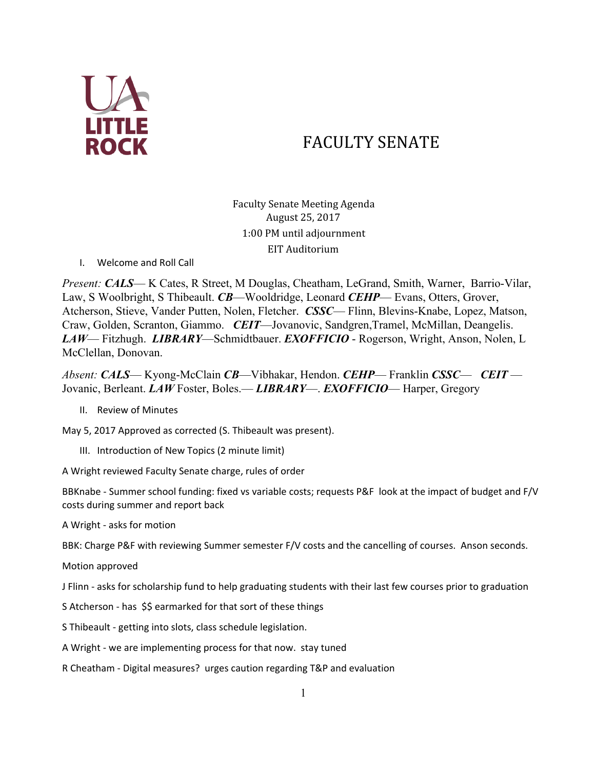

# FACULTY SENATE

Faculty Senate Meeting Agenda August 25, 2017 1:00 PM until adjournment EIT Auditorium

I. Welcome and Roll Call

*Present: CALS*— K Cates, R Street, M Douglas, Cheatham, LeGrand, Smith, Warner, Barrio-Vilar, Law, S Woolbright, S Thibeault. *CB*—Wooldridge, Leonard *CEHP*— Evans, Otters, Grover, Atcherson, Stieve, Vander Putten, Nolen, Fletcher. *CSSC*— Flinn, Blevins-Knabe, Lopez, Matson, Craw, Golden, Scranton, Giammo. *CEIT*—Jovanovic, Sandgren,Tramel, McMillan, Deangelis. *LAW*— Fitzhugh. *LIBRARY*—Schmidtbauer. *EXOFFICIO* - Rogerson, Wright, Anson, Nolen, L McClellan, Donovan.

*Absent: CALS*— Kyong-McClain *CB*—Vibhakar, Hendon. *CEHP*— Franklin *CSSC*— *CEIT* — Jovanic, Berleant. *LAW* Foster, Boles.— *LIBRARY*—. *EXOFFICIO*— Harper, Gregory

II. Review of Minutes

May 5, 2017 Approved as corrected (S. Thibeault was present).

III. Introduction of New Topics (2 minute limit)

A Wright reviewed Faculty Senate charge, rules of order

BBKnabe - Summer school funding: fixed vs variable costs; requests P&F look at the impact of budget and F/V costs during summer and report back

A Wright - asks for motion

BBK: Charge P&F with reviewing Summer semester F/V costs and the cancelling of courses. Anson seconds.

Motion approved

J Flinn - asks for scholarship fund to help graduating students with their last few courses prior to graduation

S Atcherson - has \$\$ earmarked for that sort of these things

S Thibeault - getting into slots, class schedule legislation.

A Wright - we are implementing process for that now. stay tuned

R Cheatham - Digital measures? urges caution regarding T&P and evaluation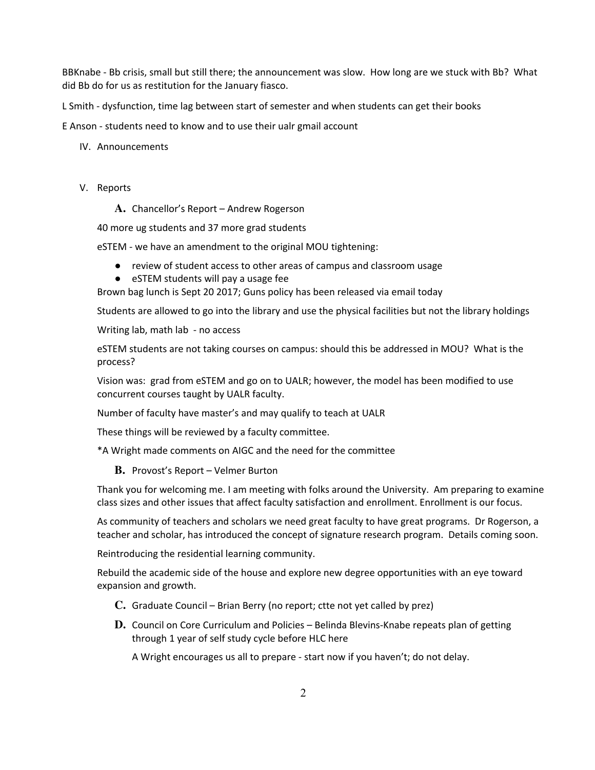BBKnabe - Bb crisis, small but still there; the announcement was slow. How long are we stuck with Bb? What did Bb do for us as restitution for the January fiasco.

L Smith - dysfunction, time lag between start of semester and when students can get their books

E Anson - students need to know and to use their ualr gmail account

- IV. Announcements
- V. Reports

**A.** Chancellor's Report – Andrew Rogerson

40 more ug students and 37 more grad students

eSTEM - we have an amendment to the original MOU tightening:

- review of student access to other areas of campus and classroom usage
- eSTEM students will pay a usage fee

Brown bag lunch is Sept 20 2017; Guns policy has been released via email today

Students are allowed to go into the library and use the physical facilities but not the library holdings

Writing lab, math lab - no access

eSTEM students are not taking courses on campus: should this be addressed in MOU? What is the process?

Vision was: grad from eSTEM and go on to UALR; however, the model has been modified to use concurrent courses taught by UALR faculty.

Number of faculty have master's and may qualify to teach at UALR

These things will be reviewed by a faculty committee.

\*A Wright made comments on AIGC and the need for the committee

**B.** Provost's Report – Velmer Burton

Thank you for welcoming me. I am meeting with folks around the University. Am preparing to examine class sizes and other issues that affect faculty satisfaction and enrollment. Enrollment is our focus.

As community of teachers and scholars we need great faculty to have great programs. Dr Rogerson, a teacher and scholar, has introduced the concept of signature research program. Details coming soon.

Reintroducing the residential learning community.

Rebuild the academic side of the house and explore new degree opportunities with an eye toward expansion and growth.

- **C.** Graduate Council Brian Berry (no report; ctte not yet called by prez)
- **D.** Council on Core Curriculum and Policies Belinda Blevins-Knabe repeats plan of getting through 1 year of self study cycle before HLC here

A Wright encourages us all to prepare - start now if you haven't; do not delay.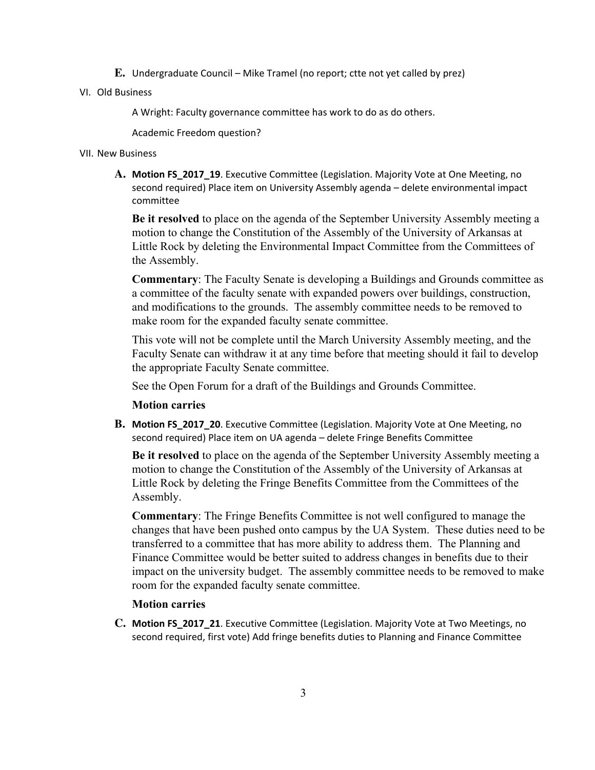- **E.** Undergraduate Council Mike Tramel (no report; ctte not yet called by prez)
- VI. Old Business

A Wright: Faculty governance committee has work to do as do others.

Academic Freedom question?

#### VII. New Business

A. Motion FS 2017 19. Executive Committee (Legislation. Majority Vote at One Meeting, no second required) Place item on University Assembly agenda – delete environmental impact committee

**Be it resolved** to place on the agenda of the September University Assembly meeting a motion to change the Constitution of the Assembly of the University of Arkansas at Little Rock by deleting the Environmental Impact Committee from the Committees of the Assembly.

**Commentary**: The Faculty Senate is developing a Buildings and Grounds committee as a committee of the faculty senate with expanded powers over buildings, construction, and modifications to the grounds. The assembly committee needs to be removed to make room for the expanded faculty senate committee.

This vote will not be complete until the March University Assembly meeting, and the Faculty Senate can withdraw it at any time before that meeting should it fail to develop the appropriate Faculty Senate committee.

See the Open Forum for a draft of the Buildings and Grounds Committee.

### **Motion carries**

**B.** Motion FS\_2017\_20. Executive Committee (Legislation. Majority Vote at One Meeting, no second required) Place item on UA agenda – delete Fringe Benefits Committee

**Be it resolved** to place on the agenda of the September University Assembly meeting a motion to change the Constitution of the Assembly of the University of Arkansas at Little Rock by deleting the Fringe Benefits Committee from the Committees of the Assembly.

**Commentary**: The Fringe Benefits Committee is not well configured to manage the changes that have been pushed onto campus by the UA System. These duties need to be transferred to a committee that has more ability to address them. The Planning and Finance Committee would be better suited to address changes in benefits due to their impact on the university budget. The assembly committee needs to be removed to make room for the expanded faculty senate committee.

#### **Motion carries**

**C.** Motion FS\_2017\_21. Executive Committee (Legislation. Majority Vote at Two Meetings, no second required, first vote) Add fringe benefits duties to Planning and Finance Committee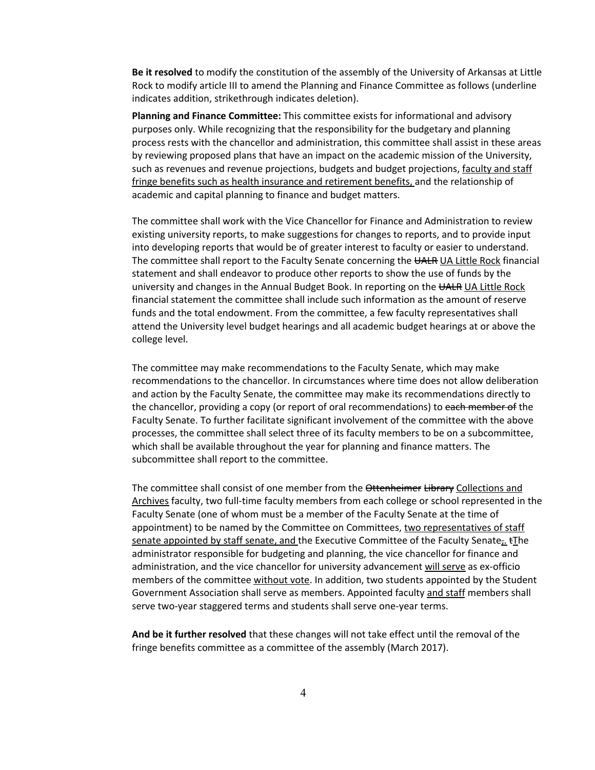Be it resolved to modify the constitution of the assembly of the University of Arkansas at Little Rock to modify article III to amend the Planning and Finance Committee as follows (underline indicates addition, strikethrough indicates deletion).

Planning and Finance Committee: This committee exists for informational and advisory purposes only. While recognizing that the responsibility for the budgetary and planning process rests with the chancellor and administration, this committee shall assist in these areas by reviewing proposed plans that have an impact on the academic mission of the University, such as revenues and revenue projections, budgets and budget projections, faculty and staff fringe benefits such as health insurance and retirement benefits, and the relationship of academic and capital planning to finance and budget matters.

The committee shall work with the Vice Chancellor for Finance and Administration to review existing university reports, to make suggestions for changes to reports, and to provide input into developing reports that would be of greater interest to faculty or easier to understand. The committee shall report to the Faculty Senate concerning the UALR UA Little Rock financial statement and shall endeavor to produce other reports to show the use of funds by the university and changes in the Annual Budget Book. In reporting on the UALR UA Little Rock financial statement the committee shall include such information as the amount of reserve funds and the total endowment. From the committee, a few faculty representatives shall attend the University level budget hearings and all academic budget hearings at or above the college level.

The committee may make recommendations to the Faculty Senate, which may make recommendations to the chancellor. In circumstances where time does not allow deliberation and action by the Faculty Senate, the committee may make its recommendations directly to the chancellor, providing a copy (or report of oral recommendations) to each member of the Faculty Senate. To further facilitate significant involvement of the committee with the above processes, the committee shall select three of its faculty members to be on a subcommittee, which shall be available throughout the year for planning and finance matters. The subcommittee shall report to the committee.

The committee shall consist of one member from the Ottenheimer Library Collections and Archives faculty, two full-time faculty members from each college or school represented in the Faculty Senate (one of whom must be a member of the Faculty Senate at the time of appointment) to be named by the Committee on Committees, two representatives of staff senate appointed by staff senate, and the Executive Committee of the Faculty Senate,  $\pm$ The administrator responsible for budgeting and planning, the vice chancellor for finance and administration, and the vice chancellor for university advancement will serve as ex-officio members of the committee without vote. In addition, two students appointed by the Student Government Association shall serve as members. Appointed faculty and staff members shall serve two-year staggered terms and students shall serve one-year terms.

And be it further resolved that these changes will not take effect until the removal of the fringe benefits committee as a committee of the assembly (March 2017).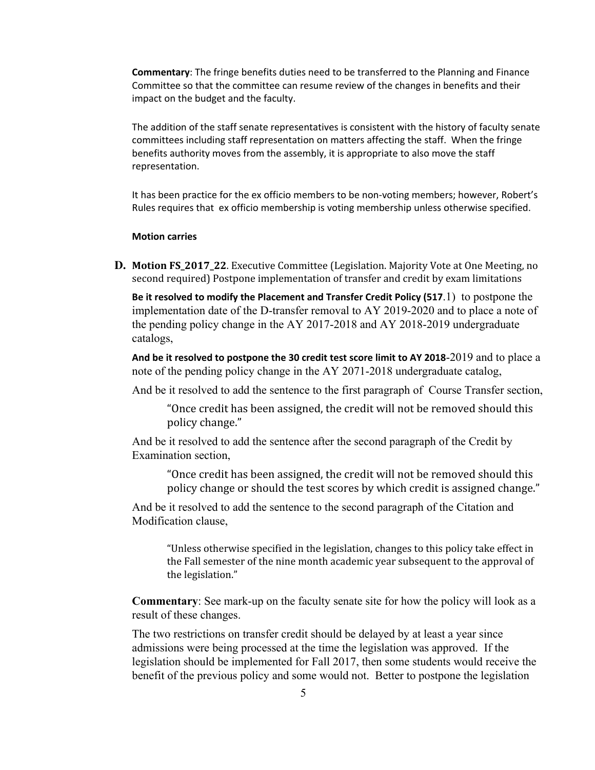Commentary: The fringe benefits duties need to be transferred to the Planning and Finance Committee so that the committee can resume review of the changes in benefits and their impact on the budget and the faculty.

The addition of the staff senate representatives is consistent with the history of faculty senate committees including staff representation on matters affecting the staff. When the fringe benefits authority moves from the assembly, it is appropriate to also move the staff representation.

It has been practice for the ex officio members to be non-voting members; however, Robert's Rules requires that ex officio membership is voting membership unless otherwise specified.

#### Motion carries

**D.** Motion FS\_2017\_22. Executive Committee (Legislation. Majority Vote at One Meeting, no second required) Postpone implementation of transfer and credit by exam limitations

Be it resolved to modify the Placement and Transfer Credit Policy (517.1) to postpone the implementation date of the D-transfer removal to AY 2019-2020 and to place a note of the pending policy change in the AY 2017-2018 and AY 2018-2019 undergraduate catalogs,

And be it resolved to postpone the 30 credit test score limit to AY 2018-2019 and to place a note of the pending policy change in the AY 2071-2018 undergraduate catalog,

And be it resolved to add the sentence to the first paragraph of Course Transfer section,

"Once credit has been assigned, the credit will not be removed should this policy change."

And be it resolved to add the sentence after the second paragraph of the Credit by Examination section,

"Once credit has been assigned, the credit will not be removed should this policy change or should the test scores by which credit is assigned change."

And be it resolved to add the sentence to the second paragraph of the Citation and Modification clause,

"Unless otherwise specified in the legislation, changes to this policy take effect in the Fall semester of the nine month academic year subsequent to the approval of the legislation."

**Commentary**: See mark-up on the faculty senate site for how the policy will look as a result of these changes.

The two restrictions on transfer credit should be delayed by at least a year since admissions were being processed at the time the legislation was approved. If the legislation should be implemented for Fall 2017, then some students would receive the benefit of the previous policy and some would not. Better to postpone the legislation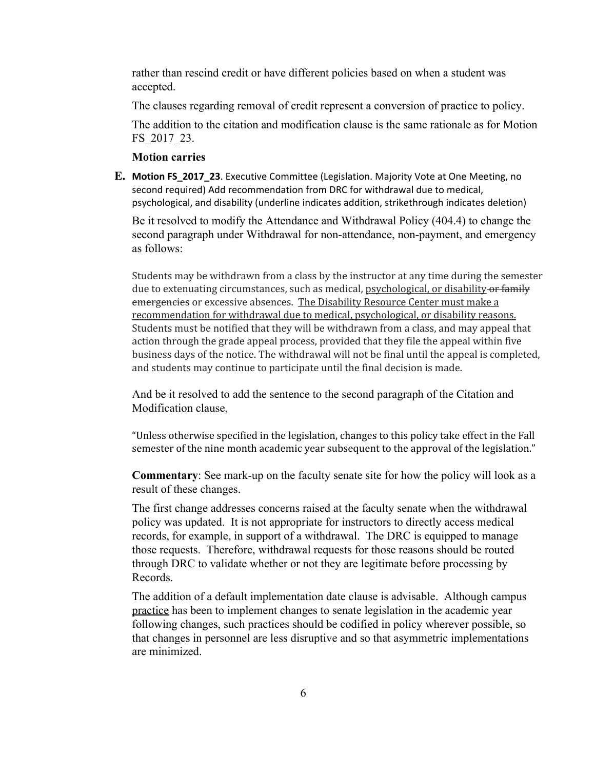rather than rescind credit or have different policies based on when a student was accepted.

The clauses regarding removal of credit represent a conversion of practice to policy.

The addition to the citation and modification clause is the same rationale as for Motion FS\_2017\_23.

## **Motion carries**

**E.** Motion FS\_2017\_23. Executive Committee (Legislation. Majority Vote at One Meeting, no second required) Add recommendation from DRC for withdrawal due to medical, psychological, and disability (underline indicates addition, strikethrough indicates deletion)

Be it resolved to modify the Attendance and Withdrawal Policy (404.4) to change the second paragraph under Withdrawal for non-attendance, non-payment, and emergency as follows:

Students may be withdrawn from a class by the instructor at any time during the semester due to extenuating circumstances, such as medical, psychological, or disability or family emergencies or excessive absences. The Disability Resource Center must make a recommendation for withdrawal due to medical, psychological, or disability reasons. Students must be notified that they will be withdrawn from a class, and may appeal that action through the grade appeal process, provided that they file the appeal within five business days of the notice. The withdrawal will not be final until the appeal is completed, and students may continue to participate until the final decision is made.

And be it resolved to add the sentence to the second paragraph of the Citation and Modification clause,

"Unless otherwise specified in the legislation, changes to this policy take effect in the Fall semester of the nine month academic year subsequent to the approval of the legislation."

**Commentary**: See mark-up on the faculty senate site for how the policy will look as a result of these changes.

The first change addresses concerns raised at the faculty senate when the withdrawal policy was updated. It is not appropriate for instructors to directly access medical records, for example, in support of a withdrawal. The DRC is equipped to manage those requests. Therefore, withdrawal requests for those reasons should be routed through DRC to validate whether or not they are legitimate before processing by Records.

The addition of a default implementation date clause is advisable. Although campus practice has been to implement changes to senate legislation in the academic year following changes, such practices should be codified in policy wherever possible, so that changes in personnel are less disruptive and so that asymmetric implementations are minimized.